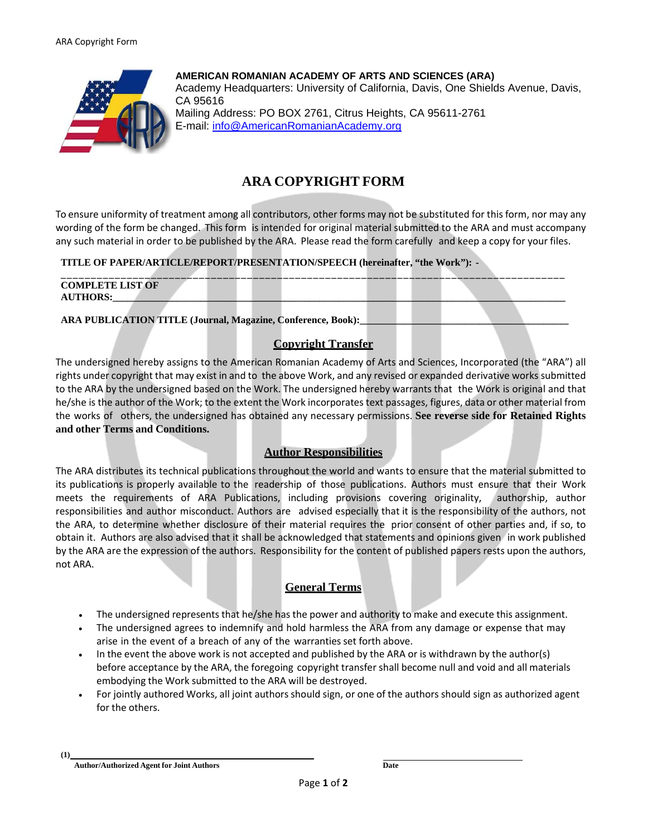

**AMERICAN ROMANIAN ACADEMY OF ARTS AND SCIENCES (ARA)**  Academy Headquarters: University of California, Davis, One Shields Avenue, Davis, CA 95616 Mailing Address: PO BOX 2761, Citrus Heights, CA 95611-2761 E-mail: info@AmericanRomanianAcademy.org

# **ARA COPYRIGHT FORM**

To ensure uniformity of treatment among all contributors, other forms may not be substituted for this form, nor may any wording of the form be changed. This form is intended for original material submitted to the ARA and must accompany any such material in order to be published by the ARA. Please read the form carefully and keep a copy for your files.

### **TITLE OF PAPER/ARTICLE/REPORT/PRESENTATION/SPEECH (hereinafter, "the Work"): -**

| <b>COMPLETE LIST OF</b> |  |  |  |  |  |
|-------------------------|--|--|--|--|--|
| <b>AUTHORS:</b>         |  |  |  |  |  |
|                         |  |  |  |  |  |

**ARA PUBLICATION TITLE (Journal, Magazine, Conference, Book):\_\_\_\_\_\_\_\_\_\_\_\_\_\_\_\_\_\_\_\_\_\_\_\_\_\_\_\_\_\_\_\_\_\_\_\_\_\_\_\_\_\_**

# **Copyright Transfer**

The undersigned hereby assigns to the American Romanian Academy of Arts and Sciences, Incorporated (the "ARA") all rights under copyright that may exist in and to the above Work, and any revised or expanded derivative works submitted to the ARA by the undersigned based on the Work. The undersigned hereby warrants that the Work is original and that he/she is the author of the Work; to the extent the Work incorporates text passages, figures, data or other material from the works of others, the undersigned has obtained any necessary permissions. **See reverse side for Retained Rights and other Terms and Conditions.**

# **Author Responsibilities**

The ARA distributes its technical publications throughout the world and wants to ensure that the material submitted to its publications is properly available to the readership of those publications. Authors must ensure that their Work meets the requirements of ARA Publications, including provisions covering originality, authorship, author responsibilities and author misconduct. Authors are advised especially that it is the responsibility of the authors, not the ARA, to determine whether disclosure of their material requires the prior consent of other parties and, if so, to obtain it. Authors are also advised that it shall be acknowledged that statements and opinions given in work published by the ARA are the expression of the authors. Responsibility for the content of published papers rests upon the authors, not ARA.

# **General Terms**

- The undersigned represents that he/she has the power and authority to make and execute this assignment.
- The undersigned agrees to indemnify and hold harmless the ARA from any damage or expense that may arise in the event of a breach of any of the warranties set forth above.
- In the event the above work is not accepted and published by the ARA or is withdrawn by the author(s) before acceptance by the ARA, the foregoing copyright transfer shall become null and void and all materials embodying the Work submitted to the ARA will be destroyed.
- For jointly authored Works, all joint authors should sign, or one of the authors should sign as authorized agent for the others.

**(1)**

**Author/Authorized Agent for Joint Authors Date**